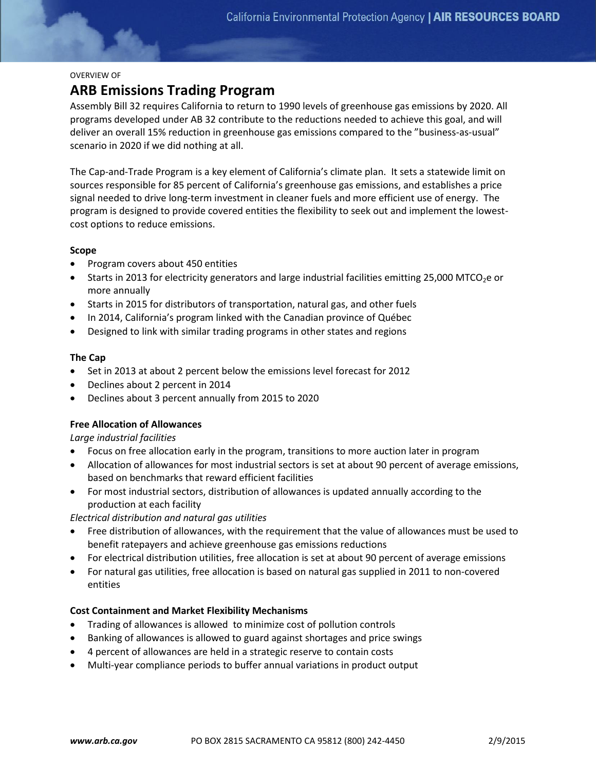## OVERVIEW OF

# **ARB Emissions Trading Program**

Assembly Bill 32 requires California to return to 1990 levels of greenhouse gas emissions by 2020. All programs developed under AB 32 contribute to the reductions needed to achieve this goal, and will deliver an overall 15% reduction in greenhouse gas emissions compared to the "business-as-usual" scenario in 2020 if we did nothing at all.

The Cap-and-Trade Program is a key element of California's climate plan. It sets a statewide limit on sources responsible for 85 percent of California's greenhouse gas emissions, and establishes a price signal needed to drive long-term investment in cleaner fuels and more efficient use of energy. The program is designed to provide covered entities the flexibility to seek out and implement the lowestcost options to reduce emissions.

## **Scope**

- Program covers about 450 entities
- Starts in 2013 for electricity generators and large industrial facilities emitting 25,000 MTCO<sub>2</sub>e or more annually
- Starts in 2015 for distributors of transportation, natural gas, and other fuels
- In 2014, California's program linked with the Canadian province of Québec
- Designed to link with similar trading programs in other states and regions

## **The Cap**

- Set in 2013 at about 2 percent below the emissions level forecast for 2012
- Declines about 2 percent in 2014
- Declines about 3 percent annually from 2015 to 2020

## **Free Allocation of Allowances**

*Large industrial facilities*

- Focus on free allocation early in the program, transitions to more auction later in program
- Allocation of allowances for most industrial sectors is set at about 90 percent of average emissions, based on benchmarks that reward efficient facilities
- For most industrial sectors, distribution of allowances is updated annually according to the production at each facility

*Electrical distribution and natural gas utilities*

- Free distribution of allowances, with the requirement that the value of allowances must be used to benefit ratepayers and achieve greenhouse gas emissions reductions
- For electrical distribution utilities, free allocation is set at about 90 percent of average emissions
- For natural gas utilities, free allocation is based on natural gas supplied in 2011 to non-covered entities

## **Cost Containment and Market Flexibility Mechanisms**

- Trading of allowances is allowed to minimize cost of pollution controls
- Banking of allowances is allowed to guard against shortages and price swings
- 4 percent of allowances are held in a strategic reserve to contain costs
- Multi-year compliance periods to buffer annual variations in product output